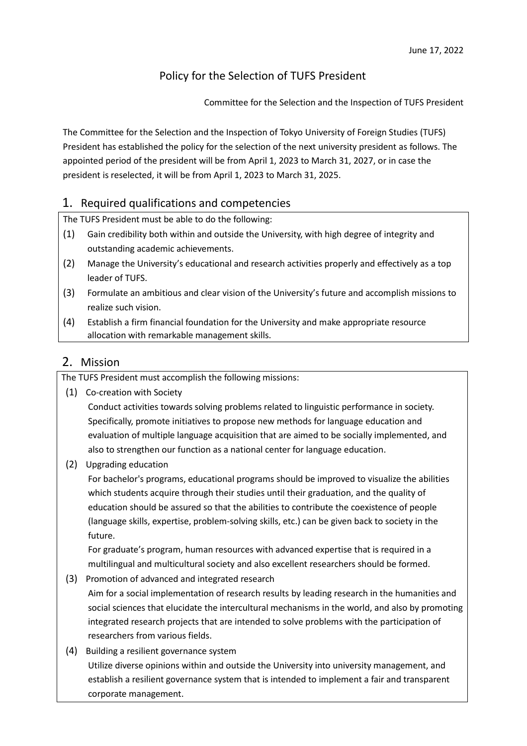### Policy for the Selection of TUFS President

Committee for the Selection and the Inspection of TUFS President

The Committee for the Selection and the Inspection of Tokyo University of Foreign Studies (TUFS) President has established the policy for the selection of the next university president as follows. The appointed period of the president will be from April 1, 2023 to March 31, 2027, or in case the president is reselected, it will be from April 1, 2023 to March 31, 2025.

#### 1. Required qualifications and competencies

The TUFS President must be able to do the following:

- (1) Gain credibility both within and outside the University, with high degree of integrity and outstanding academic achievements.
- (2) Manage the University's educational and research activities properly and effectively as a top leader of TUFS.
- (3) Formulate an ambitious and clear vision of the University's future and accomplish missions to realize such vision.
- (4) Establish a firm financial foundation for the University and make appropriate resource allocation with remarkable management skills.

### 2. Mission

The TUFS President must accomplish the following missions:

- (1) Co-creation with Society Conduct activities towards solving problems related to linguistic performance in society. Specifically, promote initiatives to propose new methods for language education and evaluation of multiple language acquisition that are aimed to be socially implemented, and also to strengthen our function as a national center for language education.
- (2) Upgrading education

For bachelor's programs, educational programs should be improved to visualize the abilities which students acquire through their studies until their graduation, and the quality of education should be assured so that the abilities to contribute the coexistence of people (language skills, expertise, problem-solving skills, etc.) can be given back to society in the future.

For graduate's program, human resources with advanced expertise that is required in a multilingual and multicultural society and also excellent researchers should be formed.

- (3) Promotion of advanced and integrated research Aim for a social implementation of research results by leading research in the humanities and social sciences that elucidate the intercultural mechanisms in the world, and also by promoting integrated research projects that are intended to solve problems with the participation of researchers from various fields.
- (4) Building a resilient governance system Utilize diverse opinions within and outside the University into university management, and establish a resilient governance system that is intended to implement a fair and transparent corporate management.